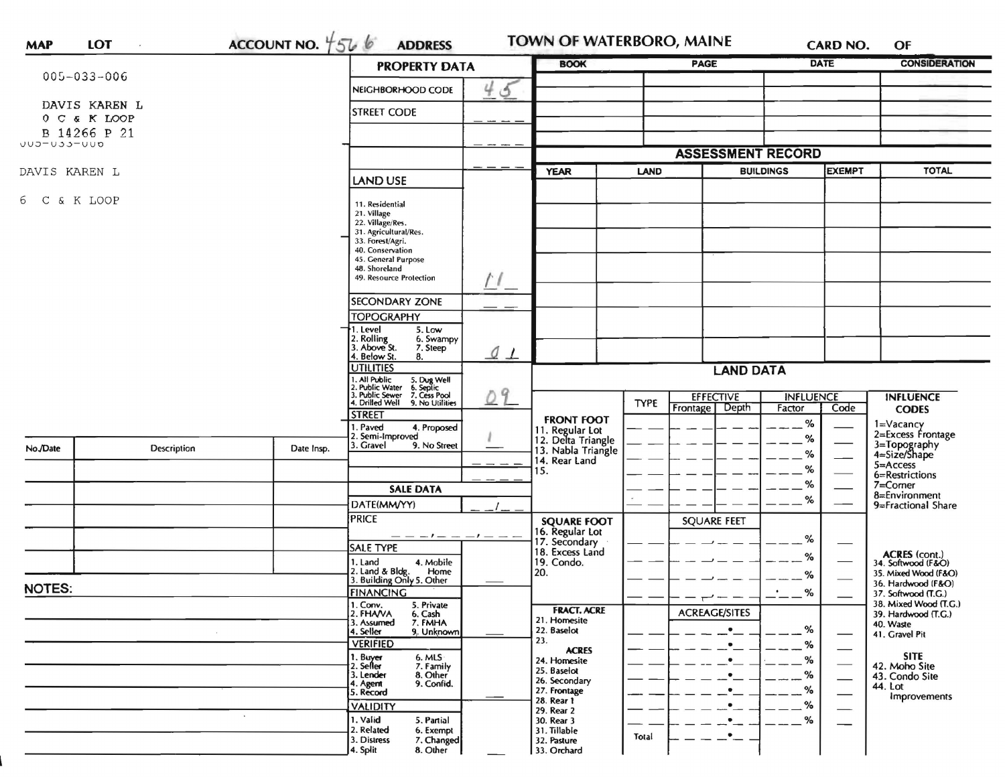|                   |                             |                                                                                                                                                              | <b>PROPERTY DATA</b>                                                                                                                                                                   | <b>BOOK</b>                                                 |                            | PAGE                             |                            | <b>DATE</b>                         | <b>CONSIDERATION</b>                      |  |
|-------------------|-----------------------------|--------------------------------------------------------------------------------------------------------------------------------------------------------------|----------------------------------------------------------------------------------------------------------------------------------------------------------------------------------------|-------------------------------------------------------------|----------------------------|----------------------------------|----------------------------|-------------------------------------|-------------------------------------------|--|
| $005 - 033 - 006$ |                             |                                                                                                                                                              | 4<br>త<br>NEIGHBORHOOD CODE                                                                                                                                                            |                                                             |                            |                                  |                            |                                     |                                           |  |
| DAVIS KAREN L     |                             |                                                                                                                                                              |                                                                                                                                                                                        |                                                             |                            |                                  |                            |                                     |                                           |  |
| 0 C & K LOOP      |                             |                                                                                                                                                              | <b>STREET CODE</b>                                                                                                                                                                     |                                                             |                            |                                  |                            |                                     |                                           |  |
| B 14266 P 21      |                             |                                                                                                                                                              |                                                                                                                                                                                        |                                                             |                            |                                  |                            |                                     |                                           |  |
| UUJ-UJJ-UUD       |                             |                                                                                                                                                              |                                                                                                                                                                                        |                                                             |                            | <b>ASSESSMENT RECORD</b>         |                            |                                     |                                           |  |
| DAVIS KAREN L     |                             |                                                                                                                                                              |                                                                                                                                                                                        |                                                             | <b>LAND</b><br><b>YEAR</b> |                                  |                            | <b>EXEMPT</b><br><b>BUILDINGS</b>   |                                           |  |
|                   |                             |                                                                                                                                                              | <b>LAND USE</b>                                                                                                                                                                        |                                                             |                            |                                  |                            |                                     | <b>TOTAL</b>                              |  |
| 6 C & K LOOP      |                             |                                                                                                                                                              | 11. Residential<br>21. Village<br>22. Village/Res.<br>31. Agricultural/Res.<br>33. Forest/Agri.<br>40. Conservation<br>45. General Purpose<br>48. Shoreland<br>49. Resource Protection |                                                             |                            |                                  |                            |                                     |                                           |  |
|                   |                             |                                                                                                                                                              | <b>SECONDARY ZONE</b>                                                                                                                                                                  |                                                             |                            |                                  |                            |                                     |                                           |  |
|                   |                             |                                                                                                                                                              | <b>TOPOGRAPHY</b>                                                                                                                                                                      |                                                             |                            |                                  |                            |                                     |                                           |  |
|                   |                             |                                                                                                                                                              | 1. Level<br>5. Low<br>6. Swampy                                                                                                                                                        |                                                             |                            |                                  |                            |                                     |                                           |  |
|                   |                             |                                                                                                                                                              | 2. Rolling<br>3. Above St.<br>7. Steep<br>$Q_{\perp}$<br>4. Below St.<br>8.                                                                                                            |                                                             |                            |                                  |                            |                                     |                                           |  |
|                   |                             |                                                                                                                                                              | <b>UTILITIES</b>                                                                                                                                                                       | <b>LAND DATA</b>                                            |                            |                                  |                            |                                     |                                           |  |
|                   |                             | 1. All Public<br>2. Public Water<br>1. All Public 5. Dug Well<br>2. Public Water 6. Septic<br>3. Public Sewer 7. Cess Pool<br>4. Drilled Well 9. No Utilitie |                                                                                                                                                                                        |                                                             |                            |                                  |                            |                                     |                                           |  |
|                   |                             |                                                                                                                                                              | 09<br>9. No Utilities                                                                                                                                                                  |                                                             | <b>TYPE</b><br>Frontage    | <b>EFFECTIVE</b><br><b>Depth</b> | <b>INFLUENCE</b><br>Factor | Code                                | <b>INFLUENCE</b>                          |  |
|                   |                             |                                                                                                                                                              | <b>STREET</b>                                                                                                                                                                          | <b>FRONT FOOT</b>                                           |                            |                                  | %                          |                                     | <b>CODES</b><br>1=Vacancy                 |  |
|                   |                             |                                                                                                                                                              | . Paved<br>4. Proposed<br>2. Semi-Improved                                                                                                                                             | 11. Regular Lot<br>12. Delta Triangle<br>13. Nabla Triangle |                            |                                  | %                          |                                     | 2=Excess Frontage                         |  |
| No./Date          | Description                 | Date Insp.                                                                                                                                                   | 3. Gravel<br>9. No Street                                                                                                                                                              |                                                             |                            |                                  | ℅                          |                                     | 3=Topography<br>4=Size/Shape              |  |
|                   |                             |                                                                                                                                                              |                                                                                                                                                                                        | 14. Rear Land<br>15.                                        |                            |                                  | %                          |                                     | $5 =$ Access                              |  |
|                   |                             |                                                                                                                                                              |                                                                                                                                                                                        |                                                             |                            |                                  | %                          |                                     | 6=Restrictions<br>$7 =$ Comer             |  |
|                   |                             |                                                                                                                                                              | <b>SALE DATA</b>                                                                                                                                                                       |                                                             |                            |                                  | %                          |                                     | 8=Environment                             |  |
|                   |                             |                                                                                                                                                              | DATE(MM/YY)                                                                                                                                                                            |                                                             |                            |                                  |                            | 9=Fractional Share                  |                                           |  |
|                   |                             |                                                                                                                                                              | <b>PRICE</b>                                                                                                                                                                           | <b>SQUARE FOOT</b><br>16. Regular Lot                       |                            | <b>SQUARE FEET</b>               |                            |                                     |                                           |  |
|                   |                             |                                                                                                                                                              | $-1$ $ -1$ $ -$<br><b>SALE TYPE</b>                                                                                                                                                    | 17. Secondary<br>18. Excess Land                            |                            |                                  | %                          |                                     |                                           |  |
|                   |                             |                                                                                                                                                              | 4. Mobile<br>1. Land                                                                                                                                                                   | 19. Condo.                                                  |                            |                                  | ℅                          | ACRES (cont.)<br>34. Softwood (F&O) |                                           |  |
|                   |                             |                                                                                                                                                              | 2. Land & Bldg. Home<br>3. Building Only 5. Other<br>Home                                                                                                                              | 20.                                                         |                            |                                  | %                          |                                     | 35. Mixed Wood (F&O)                      |  |
| <b>NOTES:</b>     |                             |                                                                                                                                                              | <b>FINANCING</b>                                                                                                                                                                       |                                                             |                            |                                  | %                          |                                     | 36. Hardwood (F&O)<br>37. Softwood (T.G.) |  |
|                   |                             |                                                                                                                                                              | 1. Conv.<br>5. Private                                                                                                                                                                 |                                                             |                            | л                                |                            |                                     | 38. Mixed Wood (T.G.)                     |  |
|                   |                             |                                                                                                                                                              | 2. FHAVA<br>6. Cash<br>3. Assumed<br>7. FMHA                                                                                                                                           | <b>FRACT. ACRE</b><br>21. Homesite                          |                            | <b>ACREAGE/SITES</b>             |                            |                                     | 39. Hardwood (T.G.)<br>40. Waste          |  |
|                   |                             |                                                                                                                                                              | 4. Seller<br>9. Unknown                                                                                                                                                                | 22. Baselot                                                 |                            | $\bullet$                        | %                          |                                     | 41. Gravel Pit                            |  |
|                   |                             |                                                                                                                                                              | <b>VERIFIED</b>                                                                                                                                                                        | 23.<br><b>ACRES</b>                                         |                            | $\bullet$                        | %                          |                                     |                                           |  |
|                   |                             |                                                                                                                                                              | $6.$ MLS<br>1. Buyer<br>2. Seller<br>7. Family                                                                                                                                         | 24. Homesite                                                |                            |                                  | %                          |                                     | <b>SITE</b><br>42. Moho Site              |  |
|                   |                             |                                                                                                                                                              | 3. Lender<br>8. Other                                                                                                                                                                  | 25. Baselot<br>26. Secondary                                |                            | $\bullet$                        | %                          |                                     | 43. Condo Site                            |  |
|                   |                             |                                                                                                                                                              | 9. Confid.<br>4. Agent<br>5. Record                                                                                                                                                    | 27. Frontage                                                |                            | $\bullet$                        | %                          |                                     | 44. Lot<br>Improvements                   |  |
|                   |                             |                                                                                                                                                              | <b>VALIDITY</b>                                                                                                                                                                        | 28. Rear 1<br>29. Rear 2                                    |                            | $\bullet$                        | %                          | —                                   |                                           |  |
|                   | $\mathcal{L}_{\mathcal{A}}$ |                                                                                                                                                              | 1. Valid<br>5. Partial                                                                                                                                                                 | 30. Rear 3                                                  |                            |                                  | %                          |                                     |                                           |  |
|                   |                             |                                                                                                                                                              | 2. Related<br>6. Exempt                                                                                                                                                                | 31. Tillable                                                |                            |                                  |                            |                                     |                                           |  |
|                   |                             |                                                                                                                                                              | 3. Distress<br>7. Changed                                                                                                                                                              | 32. Pasture                                                 | Total                      | ٠                                |                            |                                     |                                           |  |